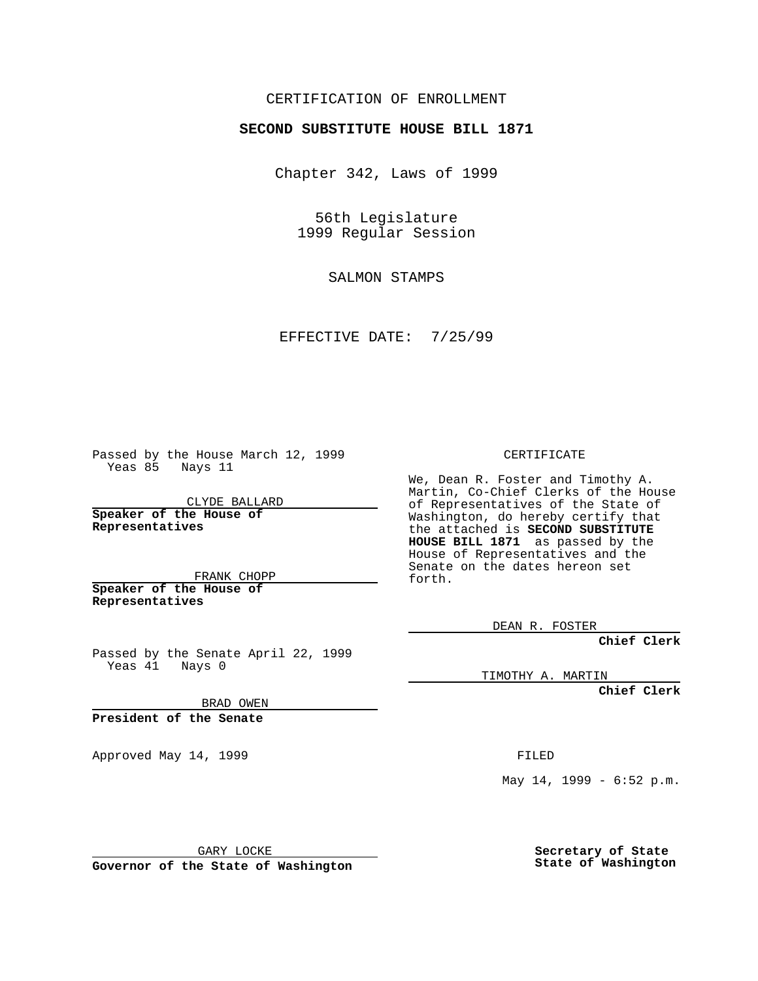## CERTIFICATION OF ENROLLMENT

## **SECOND SUBSTITUTE HOUSE BILL 1871**

Chapter 342, Laws of 1999

56th Legislature 1999 Regular Session

SALMON STAMPS

EFFECTIVE DATE: 7/25/99

Passed by the House March 12, 1999 Yeas 85 Nays 11

CLYDE BALLARD **Speaker of the House of Representatives**

FRANK CHOPP **Speaker of the House of Representatives**

Passed by the Senate April 22, 1999 Yeas 41 Nays 0

BRAD OWEN

**President of the Senate**

Approved May 14, 1999 **FILED** 

CERTIFICATE

We, Dean R. Foster and Timothy A. Martin, Co-Chief Clerks of the House of Representatives of the State of Washington, do hereby certify that the attached is **SECOND SUBSTITUTE HOUSE BILL 1871** as passed by the House of Representatives and the Senate on the dates hereon set forth.

DEAN R. FOSTER

**Chief Clerk**

TIMOTHY A. MARTIN

**Chief Clerk**

May 14, 1999 - 6:52 p.m.

GARY LOCKE

**Governor of the State of Washington**

**Secretary of State State of Washington**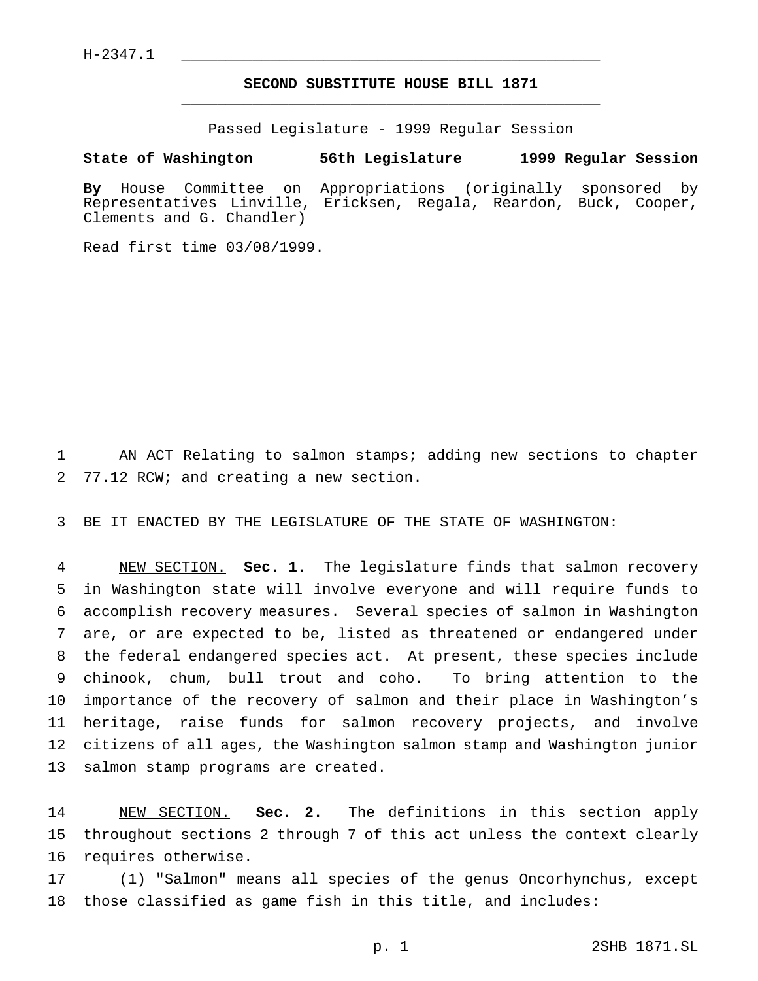$H-2347.1$ 

## **SECOND SUBSTITUTE HOUSE BILL 1871** \_\_\_\_\_\_\_\_\_\_\_\_\_\_\_\_\_\_\_\_\_\_\_\_\_\_\_\_\_\_\_\_\_\_\_\_\_\_\_\_\_\_\_\_\_\_\_

Passed Legislature - 1999 Regular Session

**State of Washington 56th Legislature 1999 Regular Session**

**By** House Committee on Appropriations (originally sponsored by Representatives Linville, Ericksen, Regala, Reardon, Buck, Cooper, Clements and G. Chandler)

Read first time 03/08/1999.

 AN ACT Relating to salmon stamps; adding new sections to chapter 77.12 RCW; and creating a new section.

BE IT ENACTED BY THE LEGISLATURE OF THE STATE OF WASHINGTON:

 NEW SECTION. **Sec. 1.** The legislature finds that salmon recovery in Washington state will involve everyone and will require funds to accomplish recovery measures. Several species of salmon in Washington are, or are expected to be, listed as threatened or endangered under the federal endangered species act. At present, these species include chinook, chum, bull trout and coho. To bring attention to the importance of the recovery of salmon and their place in Washington's heritage, raise funds for salmon recovery projects, and involve citizens of all ages, the Washington salmon stamp and Washington junior salmon stamp programs are created.

 NEW SECTION. **Sec. 2.** The definitions in this section apply throughout sections 2 through 7 of this act unless the context clearly requires otherwise.

 (1) "Salmon" means all species of the genus Oncorhynchus, except those classified as game fish in this title, and includes: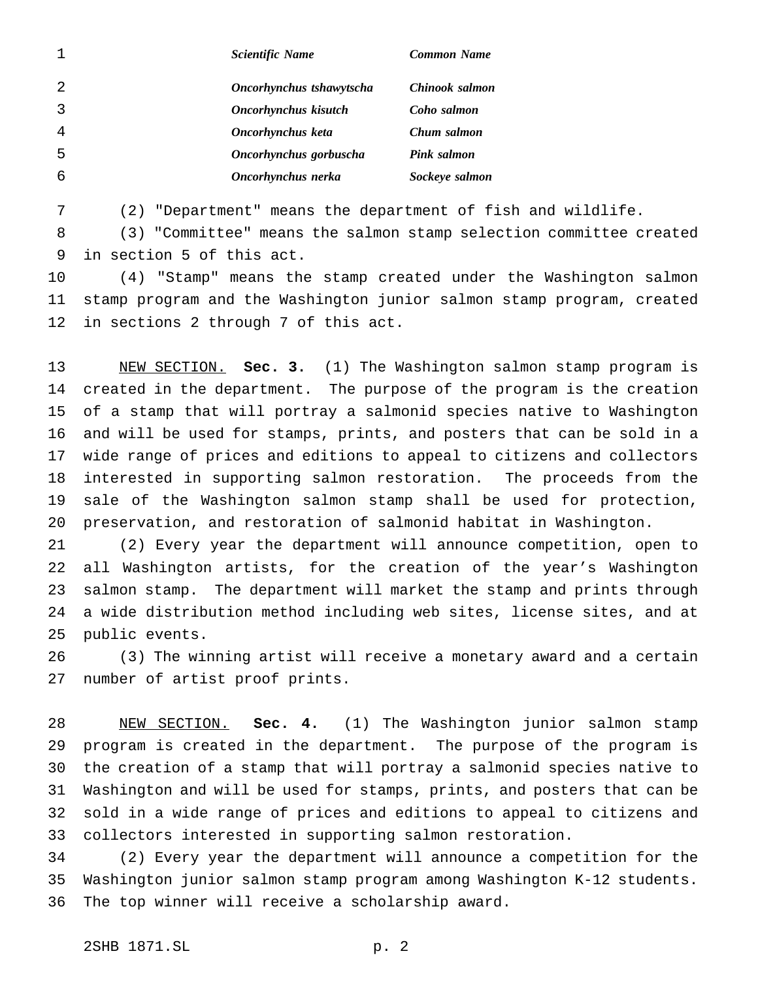|   | <b>Scientific Name</b>   | <b>Common Name</b> |
|---|--------------------------|--------------------|
| 2 | Oncorhynchus tshawytscha | Chinook salmon     |
|   | Oncorhynchus kisutch     | Coho salmon        |
|   | Oncorhynchus keta        | Chum salmon        |
| 5 | Oncorhynchus gorbuscha   | Pink salmon        |
| 6 | Oncorhynchus nerka       | Sockeye salmon     |

(2) "Department" means the department of fish and wildlife.

 (3) "Committee" means the salmon stamp selection committee created in section 5 of this act.

 (4) "Stamp" means the stamp created under the Washington salmon stamp program and the Washington junior salmon stamp program, created in sections 2 through 7 of this act.

 NEW SECTION. **Sec. 3.** (1) The Washington salmon stamp program is created in the department. The purpose of the program is the creation of a stamp that will portray a salmonid species native to Washington and will be used for stamps, prints, and posters that can be sold in a wide range of prices and editions to appeal to citizens and collectors interested in supporting salmon restoration. The proceeds from the sale of the Washington salmon stamp shall be used for protection, preservation, and restoration of salmonid habitat in Washington.

 (2) Every year the department will announce competition, open to all Washington artists, for the creation of the year's Washington salmon stamp. The department will market the stamp and prints through a wide distribution method including web sites, license sites, and at public events.

 (3) The winning artist will receive a monetary award and a certain number of artist proof prints.

 NEW SECTION. **Sec. 4.** (1) The Washington junior salmon stamp program is created in the department. The purpose of the program is the creation of a stamp that will portray a salmonid species native to Washington and will be used for stamps, prints, and posters that can be sold in a wide range of prices and editions to appeal to citizens and collectors interested in supporting salmon restoration.

 (2) Every year the department will announce a competition for the Washington junior salmon stamp program among Washington K-12 students. The top winner will receive a scholarship award.